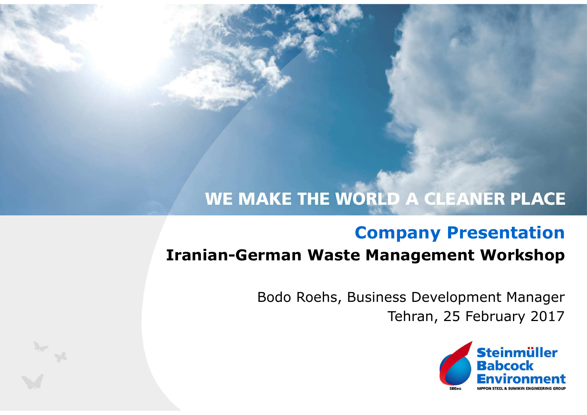## WE MAKE THE WORLD A CLEANER PLACE

### **Company Presentation**

### **Iranian-German Waste Management Workshop**

Tehran, 25 February 2017Bodo Roehs, Business Development Manager

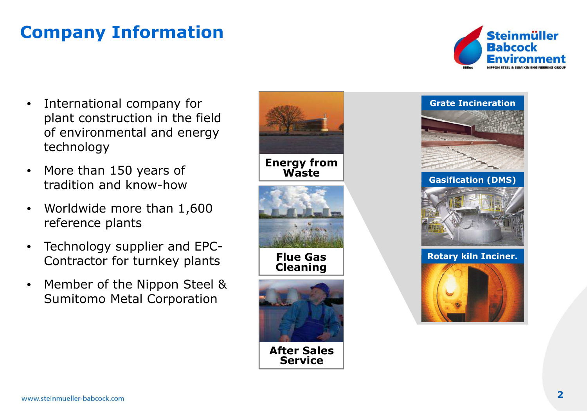## **Company Information**



- • International company for plant construction in the field of environmental and energy technology
- • More than 150 years of tradition and know-how
- $\bullet$  Worldwide more than 1,600 reference plants
- $\bullet$  Technology supplier and EPC-Contractor for turnkey plants
- • Member of the Nippon Steel & Sumitomo Metal Corporation



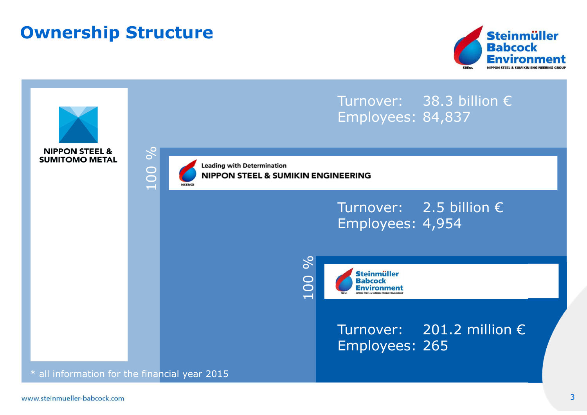### **Ownership Structure**



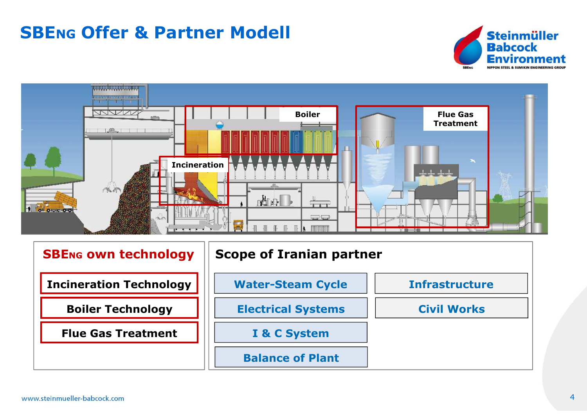# **SBENG Offer & Partner Modell**





| <b>SBENG OWN technology</b>    | <b>Scope of Iranian partner</b> |                       |  |
|--------------------------------|---------------------------------|-----------------------|--|
| <b>Incineration Technology</b> | <b>Water-Steam Cycle</b>        | <b>Infrastructure</b> |  |
| <b>Boiler Technology</b>       | <b>Electrical Systems</b>       | <b>Civil Works</b>    |  |
| <b>Flue Gas Treatment</b>      | I & C System                    |                       |  |
|                                | <b>Balance of Plant</b>         |                       |  |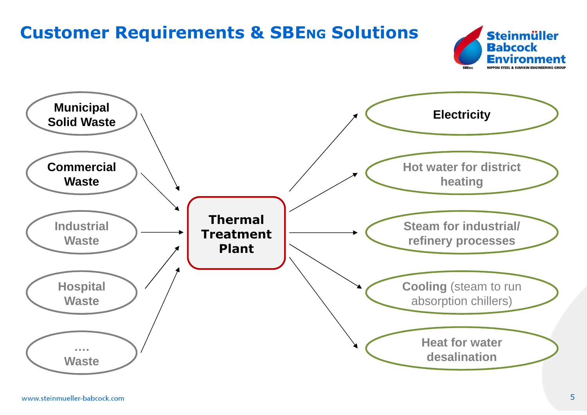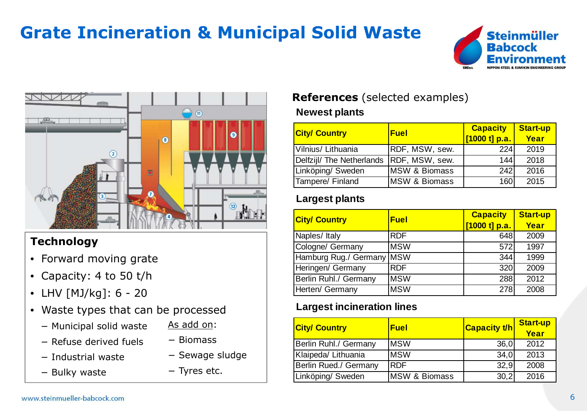## **Grate Incineration & Municipal Solid Waste**





#### **Technology**

- Forward moving grate
- Capacity: 4 to 50 t/h
- LHV [MJ/kg]: 6 <sup>20</sup>
- Waste types that can be processed
	- − Municipal solid waste
- As add on:
- − Refuse derived fuels
- − Industrial waste
- − Biomass
- 
- − Bulky waste

## − Sewage sludge

− Tyres etc.

### **References** (selected examples)

#### **Newest plants**

| <b>City/ Country</b>      | <b>Fuel</b>              | <b>Capacity</b><br>[1000 t] p.a. | <b>Start-up</b><br>Year |  |
|---------------------------|--------------------------|----------------------------------|-------------------------|--|
| Vilnius/ Lithuania        | RDF, MSW, sew.           | 224                              | 2019                    |  |
| Delfzijl/ The Netherlands | RDF, MSW, sew.           | 144                              | 2018                    |  |
| Linköping/Sweden          | <b>MSW &amp; Biomass</b> | 242                              | 2016                    |  |
| Tampere/ Finland          | <b>MSW &amp; Biomass</b> | 160                              | 2015                    |  |

#### **Largest plants**

| <b>City/ Country</b>      | <b>Fuel</b> | <b>Capacity</b> | <b>Start-up</b> |  |
|---------------------------|-------------|-----------------|-----------------|--|
|                           |             | [1000 t] p.a.   | Year            |  |
| Naples/ Italy             | <b>RDF</b>  | 648             | 2009            |  |
| Cologne/ Germany          | <b>MSW</b>  | 572             | 1997            |  |
| Hamburg Rug./ Germany MSW |             | 344             | 1999            |  |
| Heringen/ Germany         | <b>RDF</b>  | 320             | 2009            |  |
| Berlin Ruhl./ Germany     | <b>MSW</b>  | 288             | 2012            |  |
| Herten/ Germany           | <b>MSW</b>  | 278             | 2008            |  |

#### **Largest incineration lines**

| <b>City/ Country</b>  | <b>Fuel</b>               | <b>Capacity t/h</b> | <b>Start-up</b><br>Year |
|-----------------------|---------------------------|---------------------|-------------------------|
| Berlin Ruhl./ Germany | <b>MSW</b>                | 36,0                | 2012                    |
| Klaipeda/ Lithuania   | <b>MSW</b>                | 34,0                | 2013                    |
| Berlin Rued./ Germany | <b>RDF</b>                | 32.9                | 2008                    |
| Linköping/Sweden      | <b>IMSW &amp; Biomass</b> | 30,2                | 2016                    |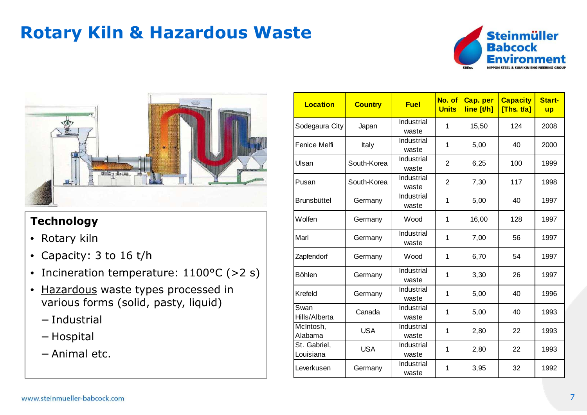## **Rotary Kiln & Hazardous Waste**





#### **Technology**

- Rotary kiln
- Capacity: 3 to 16 t/h
- Incineration temperature: 1100°C (>2 s)
- <u>Hazardous</u> waste types processed in<br>various forms (solid nasty liquid) various forms (solid, pasty, liquid)
	- − Industrial
	- − Hospital
	- − Animal etc.

| <b>Location</b>           | <b>Country</b> | <b>Fuel</b>                | No. of<br><b>Units</b> | Cap. per<br>line [t/h] | <b>Capacity</b><br>[Ths. $t/a$ ] | Start-<br><b>up</b> |
|---------------------------|----------------|----------------------------|------------------------|------------------------|----------------------------------|---------------------|
| Sodegaura City            | Japan          | Industrial<br>waste        | 1                      | 15,50                  | 124                              | 2008                |
| Fenice Melfi              | Italy          | Industrial<br>waste        | $\mathbf 1$            | 5,00                   | 40                               | 2000                |
| Ulsan                     | South-Korea    | Industrial<br>waste        | $\overline{2}$         | 6,25                   | 100                              | 1999                |
| Pusan                     | South-Korea    | <b>Industrial</b><br>waste | $\overline{2}$         | 7,30                   | 117                              | 1998                |
| <b>Brunsbüttel</b>        | Germany        | Industrial<br>waste        | 1                      | 5,00                   | 40                               | 1997                |
| Wolfen                    | Germany        | Wood                       | 1                      | 16,00                  | 128                              | 1997                |
| Marl                      | Germany        | Industrial<br>waste        | 1                      | 7,00                   | 56                               | 1997                |
| Zapfendorf                | Germany        | Wood                       | 1                      | 6,70                   | 54                               | 1997                |
| <b>Böhlen</b>             | Germany        | Industrial<br>waste        | 1                      | 3,30                   | 26                               | 1997                |
| Krefeld                   | Germany        | Industrial<br>waste        | 1                      | 5,00                   | 40                               | 1996                |
| Swan<br>Hills/Alberta     | Canada         | Industrial<br>waste        | 1                      | 5,00                   | 40                               | 1993                |
| McIntosh,<br>Alabama      | <b>USA</b>     | Industrial<br>waste        | 1                      | 2,80                   | 22                               | 1993                |
| St. Gabriel,<br>Louisiana | <b>USA</b>     | Industrial<br>waste        | 1                      | 2,80                   | 22                               | 1993                |
| Leverkusen                | Germany        | Industrial<br>waste        | 1                      | 3,95                   | 32                               | 1992                |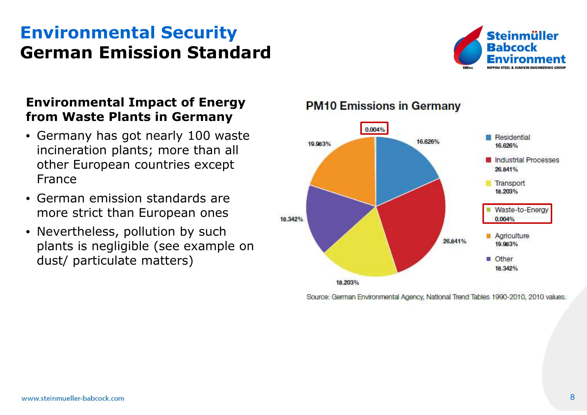### **Environmental SecurityGerman Emission Standard**



#### **Environmental Impact of Energy from Waste Plants in Germany**

- Germany has got nearly 100 waste incineration plants; more than all other European countries except France
- German emission standards are more strict than European ones
- Nevertheless, pollution by such plants is negligible (see example on dust/ particulate matters)

#### **PM10 Emissions in Germany**



Source: German Environmental Agency, National Trend Tables 1990-2010, 2010 values.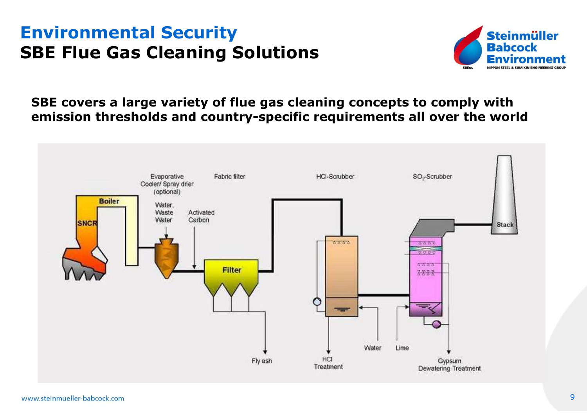### **Environmental SecuritySBE Flue Gas Cleaning Solutions**



**SBE covers a large variety of flue gas cleaning concepts to comply with emission thresholds and country-specific requirements all over the world**